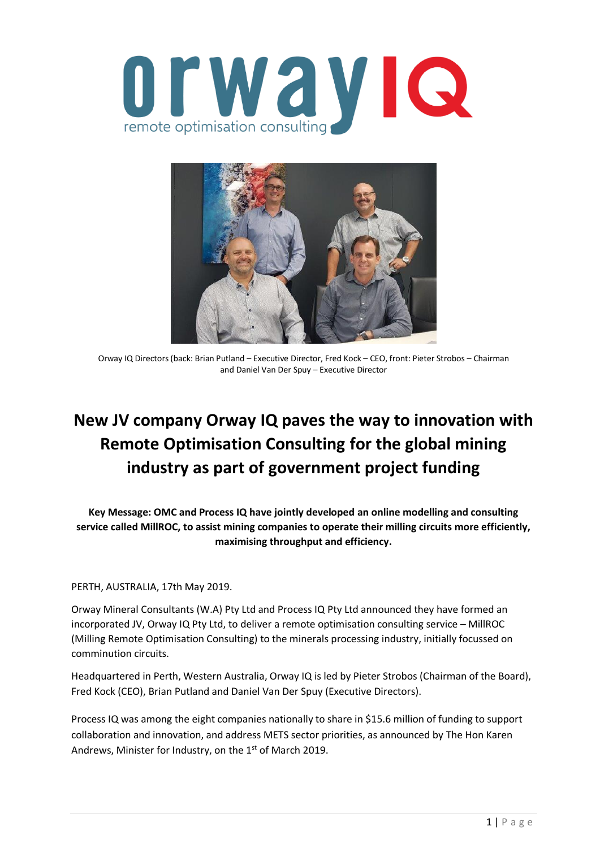



Orway IQ Directors (back: Brian Putland – Executive Director, Fred Kock – CEO, front: Pieter Strobos – Chairman and Daniel Van Der Spuy – Executive Director

## **New JV company Orway IQ paves the way to innovation with Remote Optimisation Consulting for the global mining industry as part of government project funding**

**Key Message: OMC and Process IQ have jointly developed an online modelling and consulting service called MillROC, to assist mining companies to operate their milling circuits more efficiently, maximising throughput and efficiency.**

PERTH, AUSTRALIA, 17th May 2019.

Orway Mineral Consultants (W.A) Pty Ltd and Process IQ Pty Ltd announced they have formed an incorporated JV, Orway IQ Pty Ltd, to deliver a remote optimisation consulting service – MillROC (Milling Remote Optimisation Consulting) to the minerals processing industry, initially focussed on comminution circuits.

Headquartered in Perth, Western Australia, Orway IQ is led by Pieter Strobos (Chairman of the Board), Fred Kock (CEO), Brian Putland and Daniel Van Der Spuy (Executive Directors).

Process IQ was among the eight companies nationally to share in \$15.6 million of funding to support collaboration and innovation, and address METS sector priorities, as announced by The Hon Karen Andrews, Minister for Industry, on the 1<sup>st</sup> of March 2019.